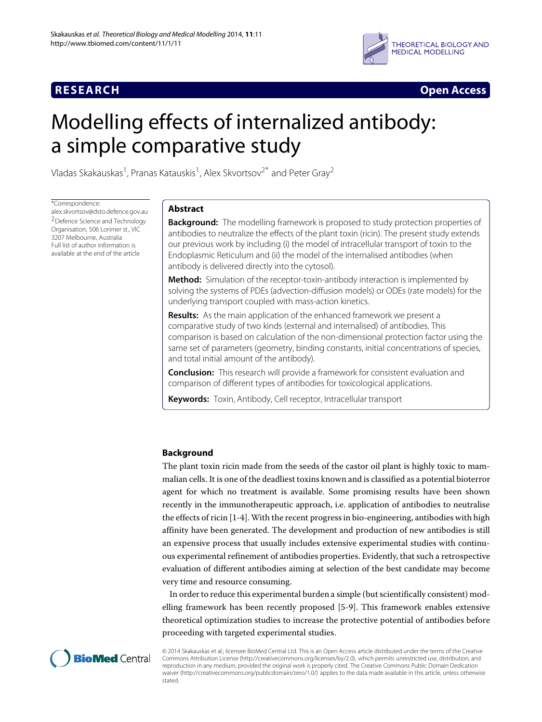

**RESEARCH Open Access**

# Modelling effects of internalized antibody: a simple comparative study

Vladas Skakauskas<sup>1</sup>, Pranas Katauskis<sup>1</sup>, Alex Skvortsov<sup>2\*</sup> and Peter Gray<sup>2</sup>

\*Correspondence:

[alex.skvortsov@dsto.defence.gov.au](mailto:alex.skvortsov@dsto.defence.gov.au) 2Defence Science and Technology Organisation, 506 Lorimer st., VIC 3207 Melbourne, Australia Full list of author information is available at the end of the article

# **Abstract**

**Background:** The modelling framework is proposed to study protection properties of antibodies to neutralize the effects of the plant toxin (ricin). The present study extends our previous work by including (i) the model of intracellular transport of toxin to the Endoplasmic Reticulum and (ii) the model of the internalised antibodies (when antibody is delivered directly into the cytosol).

**Method:** Simulation of the receptor-toxin-antibody interaction is implemented by solving the systems of PDEs (advection-diffusion models) or ODEs (rate models) for the underlying transport coupled with mass-action kinetics.

**Results:** As the main application of the enhanced framework we present a comparative study of two kinds (external and internalised) of antibodies. This comparison is based on calculation of the non-dimensional protection factor using the same set of parameters (geometry, binding constants, initial concentrations of species, and total initial amount of the antibody).

**Conclusion:** This research will provide a framework for consistent evaluation and comparison of different types of antibodies for toxicological applications.

**Keywords:** Toxin, Antibody, Cell receptor, Intracellular transport

# **Background**

The plant toxin ricin made from the seeds of the castor oil plant is highly toxic to mammalian cells. It is one of the deadliest toxins known and is classified as a potential bioterror agent for which no treatment is available. Some promising results have been shown recently in the immunotherapeutic approach, i.e. application of antibodies to neutralise the effects of ricin [\[1](#page-15-0)[-4\]](#page-15-1).With the recent progress in bio-engineering, antibodies with high affinity have been generated. The development and production of new antibodies is still an expensive process that usually includes extensive experimental studies with continuous experimental refinement of antibodies properties. Evidently, that such a retrospective evaluation of different antibodies aiming at selection of the best candidate may become very time and resource consuming.

In order to reduce this experimental burden a simple (but scientifically consistent) modelling framework has been recently proposed [\[5](#page-15-2)[-9\]](#page-15-3). This framework enables extensive theoretical optimization studies to increase the protective potential of antibodies before proceeding with targeted experimental studies.



© 2014 Skakauskas et al.; licensee BioMed Central Ltd. This is an Open Access article distributed under the terms of the Creative Commons Attribution License [\(http://creativecommons.org/licenses/by/2.0\)](http://creativecommons.org/licenses/by/2.0), which permits unrestricted use, distribution, and reproduction in any medium, provided the original work is properly cited. The Creative Commons Public Domain Dedication waiver [\(http://creativecommons.org/publicdomain/zero/1.0/\)](http://creativecommons.org/publicdomain/zero/1.0/) applies to the data made available in this article, unless otherwise stated.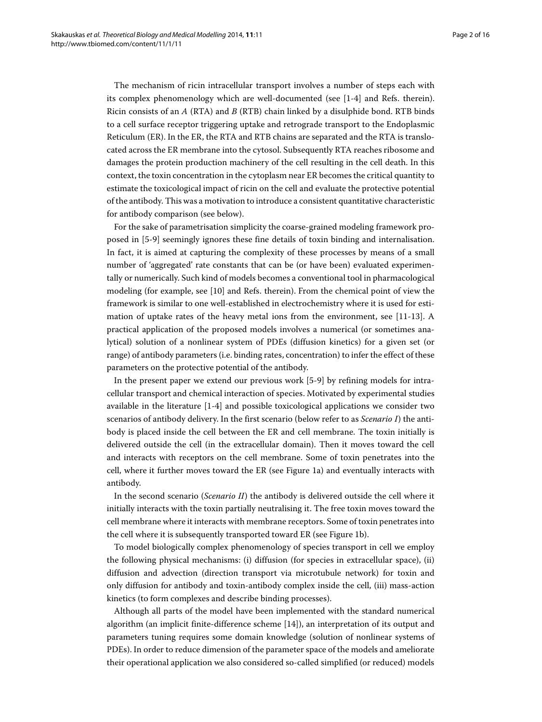The mechanism of ricin intracellular transport involves a number of steps each with its complex phenomenology which are well-documented (see [\[1](#page-15-0)[-4\]](#page-15-1) and Refs. therein). Ricin consists of an *A* (RTA) and *B* (RTB) chain linked by a disulphide bond. RTB binds to a cell surface receptor triggering uptake and retrograde transport to the Endoplasmic Reticulum (ER). In the ER, the RTA and RTB chains are separated and the RTA is translocated across the ER membrane into the cytosol. Subsequently RTA reaches ribosome and damages the protein production machinery of the cell resulting in the cell death. In this context, the toxin concentration in the cytoplasm near ER becomes the critical quantity to estimate the toxicological impact of ricin on the cell and evaluate the protective potential of the antibody. This was a motivation to introduce a consistent quantitative characteristic for antibody comparison (see below).

For the sake of parametrisation simplicity the coarse-grained modeling framework proposed in [\[5-](#page-15-2)[9\]](#page-15-3) seemingly ignores these fine details of toxin binding and internalisation. In fact, it is aimed at capturing the complexity of these processes by means of a small number of 'aggregated' rate constants that can be (or have been) evaluated experimentally or numerically. Such kind of models becomes a conventional tool in pharmacological modeling (for example, see [\[10\]](#page-15-4) and Refs. therein). From the chemical point of view the framework is similar to one well-established in electrochemistry where it is used for estimation of uptake rates of the heavy metal ions from the environment, see [\[11-](#page-15-5)[13\]](#page-15-6). A practical application of the proposed models involves a numerical (or sometimes analytical) solution of a nonlinear system of PDEs (diffusion kinetics) for a given set (or range) of antibody parameters (i.e. binding rates, concentration) to infer the effect of these parameters on the protective potential of the antibody.

In the present paper we extend our previous work [\[5](#page-15-2)[-9\]](#page-15-3) by refining models for intracellular transport and chemical interaction of species. Motivated by experimental studies available in the literature [\[1](#page-15-0)[-4\]](#page-15-1) and possible toxicological applications we consider two scenarios of antibody delivery. In the first scenario (below refer to as *Scenario I*) the antibody is placed inside the cell between the ER and cell membrane. The toxin initially is delivered outside the cell (in the extracellular domain). Then it moves toward the cell and interacts with receptors on the cell membrane. Some of toxin penetrates into the cell, where it further moves toward the ER (see Figure [1a](#page-2-0)) and eventually interacts with antibody.

In the second scenario (*Scenario II*) the antibody is delivered outside the cell where it initially interacts with the toxin partially neutralising it. The free toxin moves toward the cell membrane where it interacts with membrane receptors. Some of toxin penetrates into the cell where it is subsequently transported toward ER (see Figure [1b](#page-2-0)).

To model biologically complex phenomenology of species transport in cell we employ the following physical mechanisms: (i) diffusion (for species in extracellular space), (ii) diffusion and advection (direction transport via microtubule network) for toxin and only diffusion for antibody and toxin-antibody complex inside the cell, (iii) mass-action kinetics (to form complexes and describe binding processes).

Although all parts of the model have been implemented with the standard numerical algorithm (an implicit finite-difference scheme [\[14\]](#page-15-7)), an interpretation of its output and parameters tuning requires some domain knowledge (solution of nonlinear systems of PDEs). In order to reduce dimension of the parameter space of the models and ameliorate their operational application we also considered so-called simplified (or reduced) models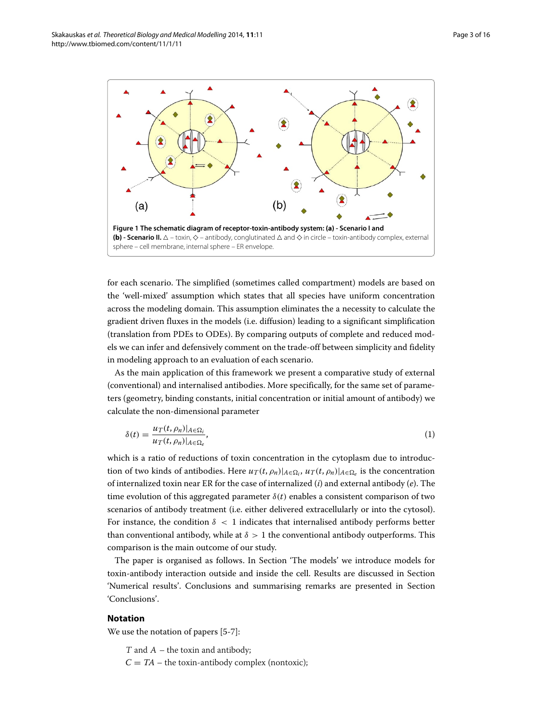

<span id="page-2-0"></span>for each scenario. The simplified (sometimes called compartment) models are based on the 'well-mixed' assumption which states that all species have uniform concentration across the modeling domain. This assumption eliminates the a necessity to calculate the gradient driven fluxes in the models (i.e. diffusion) leading to a significant simplification (translation from PDEs to ODEs). By comparing outputs of complete and reduced models we can infer and defensively comment on the trade-off between simplicity and fidelity in modeling approach to an evaluation of each scenario.

As the main application of this framework we present a comparative study of external (conventional) and internalised antibodies. More specifically, for the same set of parameters (geometry, binding constants, initial concentration or initial amount of antibody) we calculate the non-dimensional parameter

<span id="page-2-1"></span>
$$
\delta(t) = \frac{u_T(t, \rho_n)|_{A \in \Omega_i}}{u_T(t, \rho_n)|_{A \in \Omega_e}},\tag{1}
$$

which is a ratio of reductions of toxin concentration in the cytoplasm due to introduction of two kinds of antibodies. Here  $u_T(t, \rho_n)|_{A \in \Omega_i}$ ,  $u_T(t, \rho_n)|_{A \in \Omega_e}$  is the concentration of internalized toxin near ER for the case of internalized (*i*) and external antibody (*e*). The time evolution of this aggregated parameter  $\delta(t)$  enables a consistent comparison of two scenarios of antibody treatment (i.e. either delivered extracellularly or into the cytosol). For instance, the condition  $\delta$  < 1 indicates that internalised antibody performs better than conventional antibody, while at  $\delta > 1$  the conventional antibody outperforms. This comparison is the main outcome of our study.

The paper is organised as follows. In Section ['The models'](#page-3-0) we introduce models for toxin-antibody interaction outside and inside the cell. Results are discussed in Section ['Numerical results'](#page-7-0). Conclusions and summarising remarks are presented in Section ['Conclusions'](#page-14-0).

# **Notation**

We use the notation of papers [\[5](#page-15-2)[-7\]](#page-15-8):

 $T$  and  $A$  – the toxin and antibody;

 $C = TA$  – the toxin-antibody complex (nontoxic);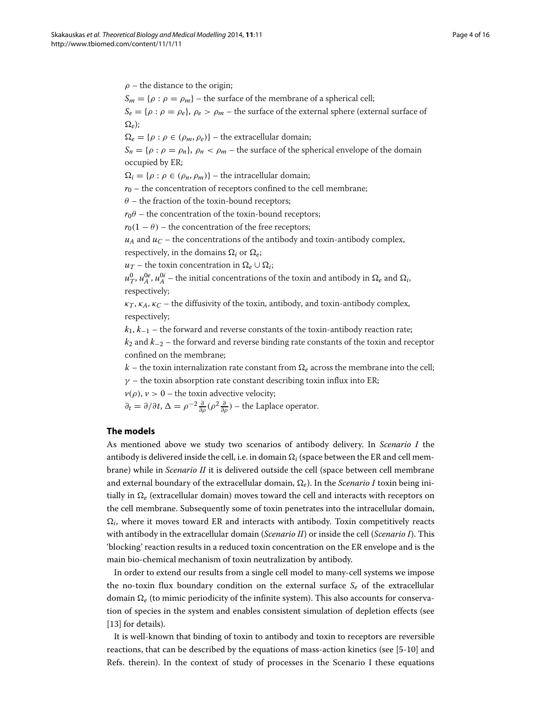$\rho$  – the distance to the origin;

 $S_m = \{\rho : \rho = \rho_m\}$  – the surface of the membrane of a spherical cell;

 $S_e = \{\rho : \rho = \rho_e\}, \rho_e > \rho_m$  – the surface of the external sphere (external surface of  $\Omega_e$ );

 $\Omega_e = \{\rho : \rho \in (\rho_m, \rho_e)\}$  – the extracellular domain;

 $S_n = \{\rho : \rho = \rho_n\},\ \rho_n < \rho_m$  – the surface of the spherical envelope of the domain occupied by ER;

 $\Omega_i = \{ \rho : \rho \in (\rho_n, \rho_m) \}$  – the intracellular domain;

 $r_0$  – the concentration of receptors confined to the cell membrane;

 $\theta$  – the fraction of the toxin-bound receptors;

 $r_0$ θ – the concentration of the toxin-bound receptors;

 $r_0(1 - \theta)$  – the concentration of the free receptors;

 $u_A$  and  $u_C$  – the concentrations of the antibody and toxin-antibody complex, respectively, in the domains  $\Omega_i$  or  $\Omega_e$ ;

 $u_T$  – the toxin concentration in  $\Omega_e \cup \Omega_i$ ;

 $u^{0}_{T}, u^{0e}_{A}, u^{0i}_{A}$  – the initial concentrations of the toxin and antibody in  $\Omega_{e}$  and  $\Omega_{i}$ , respectively;

 $\kappa_T$ ,  $\kappa_A$ ,  $\kappa_C$  – the diffusivity of the toxin, antibody, and toxin-antibody complex, respectively;

*<sup>k</sup>*1, *<sup>k</sup>*−<sup>1</sup> – the forward and reverse constants of the toxin-antibody reaction rate;

*<sup>k</sup>*<sup>2</sup> and *<sup>k</sup>*−<sup>2</sup> – the forward and reverse binding rate constants of the toxin and receptor confined on the membrane;

k – the toxin internalization rate constant from  $\Omega_e$  across the membrane into the cell;  $\gamma$  – the toxin absorption rate constant describing toxin influx into ER;

 $v(\rho)$ ,  $v > 0$  – the toxin advective velocity;

 $\partial_t = \partial/\partial t$ ,  $\Delta = \rho^{-2} \frac{\partial}{\partial \rho} (\rho^2 \frac{\partial}{\partial \rho})$  – the Laplace operator.

# <span id="page-3-0"></span>**The models**

As mentioned above we study two scenarios of antibody delivery. In *Scenario I* the antibody is delivered inside the cell, i.e. in domain  $\Omega_i$  (space between the ER and cell membrane) while in *Scenario II* it is delivered outside the cell (space between cell membrane and external boundary of the extracellular domain,  $\Omega_e$ ). In the *Scenario I* toxin being initially in  $\Omega_e$  (extracellular domain) moves toward the cell and interacts with receptors on the cell membrane. Subsequently some of toxin penetrates into the intracellular domain,  $\Omega_i$ , where it moves toward ER and interacts with antibody. Toxin competitively reacts with antibody in the extracellular domain (*Scenario II*) or inside the cell (*Scenario I*). This 'blocking' reaction results in a reduced toxin concentration on the ER envelope and is the main bio-chemical mechanism of toxin neutralization by antibody.

In order to extend our results from a single cell model to many-cell systems we impose the no-toxin flux boundary condition on the external surface *Se* of the extracellular domain  $\Omega_e$  (to mimic periodicity of the infinite system). This also accounts for conservation of species in the system and enables consistent simulation of depletion effects (see [\[13\]](#page-15-6) for details).

It is well-known that binding of toxin to antibody and toxin to receptors are reversible reactions, that can be described by the equations of mass-action kinetics (see [\[5-](#page-15-2)[10\]](#page-15-4) and Refs. therein). In the context of study of processes in the Scenario I these equations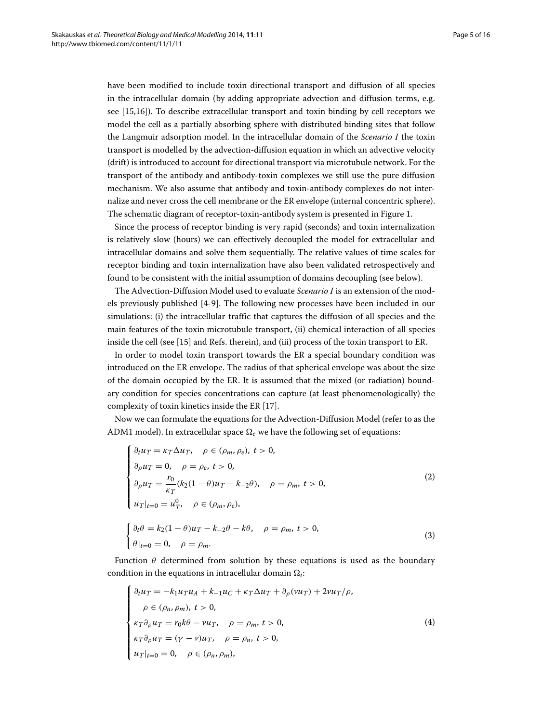have been modified to include toxin directional transport and diffusion of all species in the intracellular domain (by adding appropriate advection and diffusion terms, e.g. see [\[15](#page-15-9)[,16\]](#page-15-10)). To describe extracellular transport and toxin binding by cell receptors we model the cell as a partially absorbing sphere with distributed binding sites that follow the Langmuir adsorption model. In the intracellular domain of the *Scenario I* the toxin transport is modelled by the advection-diffusion equation in which an advective velocity (drift) is introduced to account for directional transport via microtubule network. For the transport of the antibody and antibody-toxin complexes we still use the pure diffusion mechanism. We also assume that antibody and toxin-antibody complexes do not internalize and never cross the cell membrane or the ER envelope (internal concentric sphere). The schematic diagram of receptor-toxin-antibody system is presented in Figure [1.](#page-2-0)

Since the process of receptor binding is very rapid (seconds) and toxin internalization is relatively slow (hours) we can effectively decoupled the model for extracellular and intracellular domains and solve them sequentially. The relative values of time scales for receptor binding and toxin internalization have also been validated retrospectively and found to be consistent with the initial assumption of domains decoupling (see below).

The Advection-Diffusion Model used to evaluate *Scenario I* is an extension of the models previously published [\[4-](#page-15-1)[9\]](#page-15-3). The following new processes have been included in our simulations: (i) the intracellular traffic that captures the diffusion of all species and the main features of the toxin microtubule transport, (ii) chemical interaction of all species inside the cell (see [\[15\]](#page-15-9) and Refs. therein), and (iii) process of the toxin transport to ER.

In order to model toxin transport towards the ER a special boundary condition was introduced on the ER envelope. The radius of that spherical envelope was about the size of the domain occupied by the ER. It is assumed that the mixed (or radiation) boundary condition for species concentrations can capture (at least phenomenologically) the complexity of toxin kinetics inside the ER [\[17\]](#page-15-11).

Now we can formulate the equations for the Advection-Diffusion Model (refer to as the ADM1 model). In extracellular space  $\Omega_e$  we have the following set of equations:

<span id="page-4-0"></span>
$$
\begin{cases}\n\partial_t u_T = \kappa_T \Delta u_T, & \rho \in (\rho_m, \rho_e), t > 0, \\
\partial_\rho u_T = 0, & \rho = \rho_e, t > 0, \\
\partial_\rho u_T = \frac{r_0}{\kappa_T} (k_2 (1 - \theta) u_T - k_{-2} \theta), & \rho = \rho_m, t > 0, \\
u_T|_{t=0} = u_T^0, & \rho \in (\rho_m, \rho_e), \\
\begin{cases}\n\partial_t \theta = k_2 (1 - \theta) u_T - k_{-2} \theta - k \theta, & \rho = \rho_m, t > 0, \\
\theta|_{t=0} = 0, & \rho = \rho_m.\n\end{cases}
$$
\n(3)

Function  $\theta$  determined from solution by these equations is used as the boundary condition in the equations in intracellular domain  $\Omega_i$ :

$$
\begin{cases}\n\partial_t u_T = -k_1 u_T u_A + k_{-1} u_C + \kappa_T \Delta u_T + \partial_\rho (v u_T) + 2v u_T / \rho, \\
\rho \in (\rho_n, \rho_m), \ t > 0, \\
\kappa_T \partial_\rho u_T = r_0 k \theta - v u_T, \quad \rho = \rho_m, \ t > 0, \\
\kappa_T \partial_\rho u_T = (\gamma - v) u_T, \quad \rho = \rho_n, \ t > 0, \\
u_T |_{t=0} = 0, \quad \rho \in (\rho_n, \rho_m),\n\end{cases}
$$
\n(4)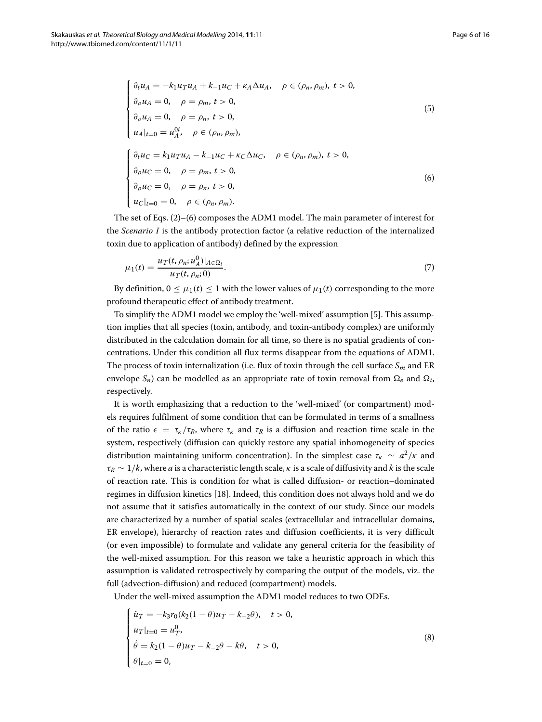<span id="page-5-0"></span>
$$
\begin{cases}\n\partial_t u_A = -k_1 u_T u_A + k_{-1} u_C + \kappa_A \Delta u_A, & \rho \in (\rho_n, \rho_m), t > 0, \\
\partial_\rho u_A = 0, & \rho = \rho_m, t > 0, \\
\partial_\rho u_A = 0, & \rho = \rho_n, t > 0, \\
u_A|_{t=0} = u_A^{0i}, & \rho \in (\rho_n, \rho_m), \\
\partial_t u_C = k_1 u_T u_A - k_{-1} u_C + \kappa_C \Delta u_C, & \rho \in (\rho_n, \rho_m), t > 0, \\
\partial_\rho u_C = 0, & \rho = \rho_m, t > 0, \\
u_C|_{t=0} = 0, & \rho \in (\rho_n, \rho_m).\n\end{cases}
$$
\n(6)

The set of Eqs. [\(2\)](#page-4-0)–[\(6\)](#page-5-0) composes the ADM1 model. The main parameter of interest for the *Scenario I* is the antibody protection factor (a relative reduction of the internalized toxin due to application of antibody) defined by the expression

<span id="page-5-2"></span>
$$
\mu_1(t) = \frac{u_T(t, \rho_n; u_A^0)|_{A \in \Omega_i}}{u_T(t, \rho_n; 0)}.
$$
\n(7)

By definition,  $0 \leq \mu_1(t) \leq 1$  with the lower values of  $\mu_1(t)$  corresponding to the more profound therapeutic effect of antibody treatment.

To simplify the ADM1 model we employ the 'well-mixed' assumption [\[5\]](#page-15-2). This assumption implies that all species (toxin, antibody, and toxin-antibody complex) are uniformly distributed in the calculation domain for all time, so there is no spatial gradients of concentrations. Under this condition all flux terms disappear from the equations of ADM1. The process of toxin internalization (i.e. flux of toxin through the cell surface  $S_m$  and ER envelope  $S_n$ ) can be modelled as an appropriate rate of toxin removal from  $\Omega_e$  and  $\Omega_i$ , respectively.

It is worth emphasizing that a reduction to the 'well-mixed' (or compartment) models requires fulfilment of some condition that can be formulated in terms of a smallness of the ratio  $\epsilon = \tau_{\kappa}/\tau_R$ , where  $\tau_{\kappa}$  and  $\tau_R$  is a diffusion and reaction time scale in the system, respectively (diffusion can quickly restore any spatial inhomogeneity of species distribution maintaining uniform concentration). In the simplest case  $\tau_K \sim a^2/\kappa$  and  $\tau_R \sim 1/k$ , where *a* is a characteristic length scale,  $\kappa$  is a scale of diffusivity and *k* is the scale of reaction rate. This is condition for what is called diffusion- or reaction–dominated regimes in diffusion kinetics [\[18\]](#page-15-12). Indeed, this condition does not always hold and we do not assume that it satisfies automatically in the context of our study. Since our models are characterized by a number of spatial scales (extracellular and intracellular domains, ER envelope), hierarchy of reaction rates and diffusion coefficients, it is very difficult (or even impossible) to formulate and validate any general criteria for the feasibility of the well-mixed assumption. For this reason we take a heuristic approach in which this assumption is validated retrospectively by comparing the output of the models, viz. the full (advection-diffusion) and reduced (compartment) models.

Under the well-mixed assumption the ADM1 model reduces to two ODEs.

<span id="page-5-1"></span>
$$
\begin{cases}\n\dot{u}_T = -k_3 r_0 (k_2 (1 - \theta) u_T - k_{-2} \theta), & t > 0, \\
u_T |_{t=0} = u_T^0, \\
\dot{\theta} = k_2 (1 - \theta) u_T - k_{-2} \theta - k \theta, & t > 0, \\
\theta |_{t=0} = 0,\n\end{cases}
$$
\n(8)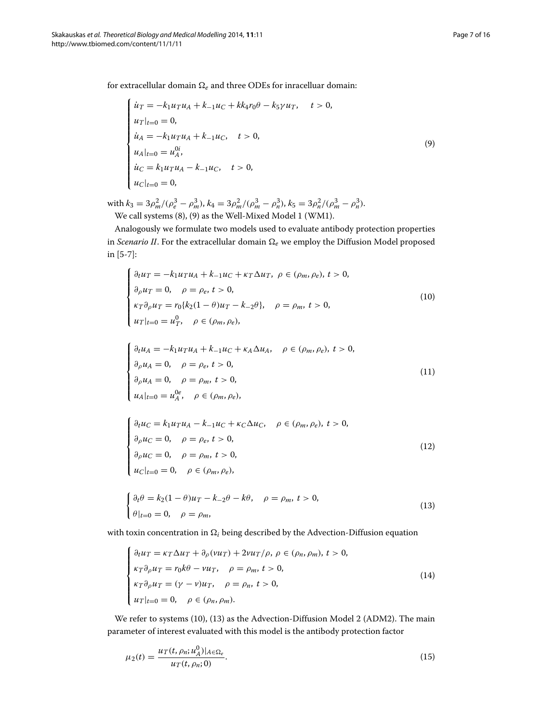for extracellular domain  $\Omega_e$  and three ODEs for inracelluar domain:

<span id="page-6-0"></span>
$$
\begin{cases}\n\dot{u}_T = -k_1 u_T u_A + k_{-1} u_C + k k_4 r_0 \theta - k_5 \gamma u_T, & t > 0, \\
u_T|_{t=0} = 0, & \\
\dot{u}_A = -k_1 u_T u_A + k_{-1} u_C, & t > 0, \\
u_A|_{t=0} = u_A^{0i}, & \\
\dot{u}_C = k_1 u_T u_A - k_{-1} u_C, & t > 0, \\
u_C|_{t=0} = 0,\n\end{cases} \tag{9}
$$

with  $k_3 = 3\rho_m^2/(\rho_e^3 - \rho_m^3)$ ,  $k_4 = 3\rho_m^2/(\rho_m^3 - \rho_n^3)$ ,  $k_5 = 3\rho_n^2/(\rho_m^3 - \rho_n^3)$ . We call systems [\(8\)](#page-5-1), [\(9\)](#page-6-0) as the Well-Mixed Model 1 (WM1).

Analogously we formulate two models used to evaluate antibody protection properties in *Scenario II*. For the extracellular domain  $\Omega_e$  we employ the Diffusion Model proposed in [\[5](#page-15-2)[-7\]](#page-15-8):

<span id="page-6-1"></span>
$$
\begin{cases}\n\partial_t u_T = -k_1 u_T u_A + k_{-1} u_C + \kappa_T \Delta u_T, \ \rho \in (\rho_m, \rho_e), \ t > 0, \\
\partial_\rho u_T = 0, \quad \rho = \rho_e, \ t > 0, \\
\kappa_T \partial_\rho u_T = r_0 \{k_2 (1 - \theta) u_T - k_{-2} \theta\}, \quad \rho = \rho_m, \ t > 0, \\
u_T|_{t=0} = u_T^0, \quad \rho \in (\rho_m, \rho_e),\n\end{cases}
$$
\n(10)

$$
\begin{cases}\n\partial_t u_A = -k_1 u_T u_A + k_{-1} u_C + \kappa_A \Delta u_A, & \rho \in (\rho_m, \rho_e), t > 0, \\
\partial_\rho u_A = 0, & \rho = \rho_e, t > 0, \\
\partial_\rho u_A = 0, & \rho = \rho_m, t > 0, \\
u_A|_{t=0} = u_A^{0e}, & \rho \in (\rho_m, \rho_e),\n\end{cases}
$$
\n(11)

$$
\begin{cases}\n\partial_t u_C = k_1 u_T u_A - k_{-1} u_C + \kappa_C \Delta u_C, & \rho \in (\rho_m, \rho_e), t > 0, \\
\partial_\rho u_C = 0, & \rho = \rho_e, t > 0, \\
\partial_\rho u_C = 0, & \rho = \rho_m, t > 0, \\
u_C|_{t=0} = 0, & \rho \in (\rho_m, \rho_e),\n\end{cases}
$$
\n(12)

<span id="page-6-2"></span>
$$
\begin{cases} \partial_t \theta = k_2 (1 - \theta) u_T - k_{-2} \theta - k \theta, & \rho = \rho_m, \ t > 0, \\ \theta |_{t=0} = 0, & \rho = \rho_m, \end{cases}
$$
(13)

with toxin concentration in  $\Omega_i$  being described by the Advection-Diffusion equation

<span id="page-6-3"></span>
$$
\begin{cases}\n\partial_t u_T = \kappa_T \Delta u_T + \partial_\rho (v u_T) + 2v u_T / \rho, \ \rho \in (\rho_n, \rho_m), \ t > 0, \\
\kappa_T \partial_\rho u_T = r_0 k \theta - v u_T, \quad \rho = \rho_m, \ t > 0, \\
\kappa_T \partial_\rho u_T = (\gamma - v) u_T, \quad \rho = \rho_n, \ t > 0, \\
u_T|_{t=0} = 0, \quad \rho \in (\rho_n, \rho_m).\n\end{cases}
$$
\n(14)

We refer to systems [\(10\)](#page-6-1), [\(13\)](#page-6-2) as the Advection-Diffusion Model 2 (ADM2). The main parameter of interest evaluated with this model is the antibody protection factor

<span id="page-6-4"></span>
$$
\mu_2(t) = \frac{u_T(t, \rho_n; u_A^0)|_{A \in \Omega_e}}{u_T(t, \rho_n; 0)}.
$$
\n(15)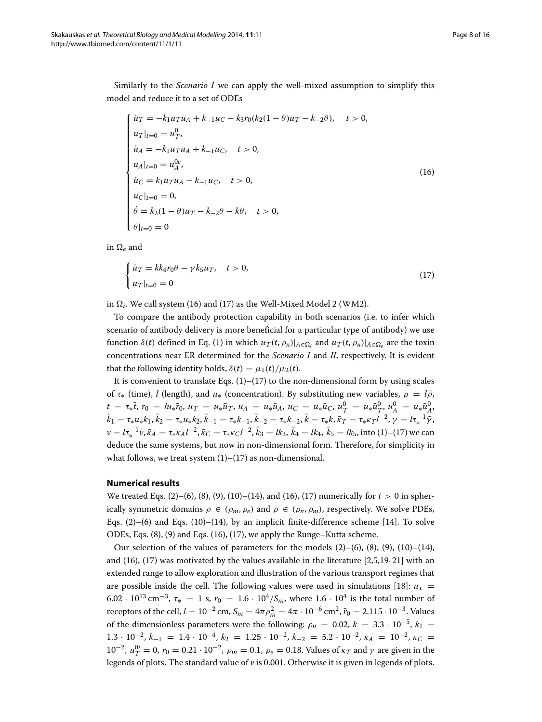Similarly to the *Scenario I* we can apply the well-mixed assumption to simplify this model and reduce it to a set of ODEs

<span id="page-7-1"></span>
$$
\begin{cases}\n\dot{u}_T = -k_1 u_T u_A + k_{-1} u_C - k_3 r_0 (k_2 (1 - \theta) u_T - k_{-2} \theta), & t > 0, \\
u_T |_{t=0} = u_T^0, \\
\dot{u}_A = -k_1 u_T u_A + k_{-1} u_C, & t > 0, \\
u_A |_{t=0} = u_A^{0e}, \\
\dot{u}_C = k_1 u_T u_A - k_{-1} u_C, & t > 0, \\
u_C |_{t=0} = 0, \\
\dot{\theta} = k_2 (1 - \theta) u_T - k_{-2} \theta - k \theta, & t > 0, \\
\theta |_{t=0} = 0\n\end{cases}
$$
\n(16)

in  $\Omega_e$  and

<span id="page-7-2"></span>
$$
\begin{cases} \n\dot{u}_T = k k_4 r_0 \theta - \gamma k_5 u_T, & t > 0, \\ \n\dot{u}_T |_{t=0} = 0 \n\end{cases} \tag{17}
$$

in  $\Omega_i$ . We call system [\(16\)](#page-7-1) and [\(17\)](#page-7-2) as the Well-Mixed Model 2 (WM2).

To compare the antibody protection capability in both scenarios (i.e. to infer which scenario of antibody delivery is more beneficial for a particular type of antibody) we use function  $\delta(t)$  defined in Eq. [\(1\)](#page-2-1) in which  $u_T(t, \rho_n)|_{A \in \Omega_i}$  and  $u_T(t, \rho_n)|_{A \in \Omega_e}$  are the toxin concentrations near ER determined for the *Scenario I* and *II*, respectively. It is evident that the following identity holds,  $\delta(t) = \mu_1(t)/\mu_2(t)$ .

It is convenient to translate Eqs.  $(1)$ – $(17)$  to the non-dimensional form by using scales of  $\tau$ <sub>\*</sub> (time), *l* (length), and  $u$ <sub>\*</sub> (concentration). By substituting new variables,  $\rho = l\bar{\rho}$ ,  $t = \tau_* \overline{t}$ ,  $r_0 = l u_* \overline{r}_0$ ,  $u_T = u_* \overline{u}_T$ ,  $u_A = u_* \overline{u}_A$ ,  $u_C = u_* \overline{u}_C$ ,  $u_T^0 = u_* \overline{u}_T^0$ ,  $u_A^0 = u_* \overline{u}_A^0$ ,  $\bar{k}_1 = \tau_* u_* k_1, \bar{k}_2 = \tau_* u_* k_2, \bar{k}_{-1} = \tau_* k_{-1}, \bar{k}_{-2} = \tau_* k_{-2}, \bar{k} = \tau_* k, \bar{\kappa}_T = \tau_* \kappa_T l^{-2}, \gamma = l \tau_*^{-1} \bar{\gamma},$  $\nu = l\tau_*^{-1}\bar{\nu}, \bar{\kappa}_A = \tau_* \kappa_A l^{-2}, \bar{\kappa}_C = \tau_* \kappa_C l^{-2}, \bar{k}_3 = lk_3, \bar{k}_4 = lk_4, \bar{k}_5 = lk_5$ , into [\(1\)](#page-2-1)–[\(17\)](#page-7-2) we can deduce the same systems, but now in non-dimensional form. Therefore, for simplicity in what follows, we treat system  $(1)$ – $(17)$  as non-dimensional.

## <span id="page-7-0"></span>**Numerical results**

We treated Eqs. [\(2\)](#page-4-0)–[\(6\)](#page-5-0), [\(8\)](#page-5-1), [\(9\)](#page-6-0), [\(10\)](#page-6-1)–[\(14\)](#page-6-3), and [\(16\)](#page-7-1), [\(17\)](#page-7-2) numerically for  $t > 0$  in spherically symmetric domains  $\rho \in (\rho_m, \rho_e)$  and  $\rho \in (\rho_n, \rho_m)$ , respectively. We solve PDEs, Eqs.  $(2)$ – $(6)$  and Eqs.  $(10)$ – $(14)$ , by an implicit finite-difference scheme [\[14\]](#page-15-7). To solve ODEs, Eqs. [\(8\)](#page-5-1), [\(9\)](#page-6-0) and Eqs. [\(16\)](#page-7-1), [\(17\)](#page-7-2), we apply the Runge–Kutta scheme.

Our selection of the values of parameters for the models  $(2)–(6)$  $(2)–(6)$  $(2)–(6)$ ,  $(8)$ ,  $(9)$ ,  $(10)–(14)$  $(10)–(14)$  $(10)–(14)$ , and [\(16\)](#page-7-1), [\(17\)](#page-7-2) was motivated by the values available in the literature [\[2](#page-15-13)[,5](#page-15-2)[,19-](#page-15-14)[21\]](#page-15-15) with an extended range to allow exploration and illustration of the various transport regimes that are possible inside the cell. The following values were used in simulations [\[18\]](#page-15-12):  $u_*$ 6.02 ·  $10^{13}$  cm<sup>-3</sup>,  $\tau_* = 1$  s,  $r_0 = 1.6 \cdot 10^4 / S_m$ , where  $1.6 \cdot 10^4$  is the total number of receptors of the cell,  $l = 10^{-2}$  cm,  $S_m = 4\pi \rho_m^2 = 4\pi \cdot 10^{-6}$  cm<sup>2</sup>,  $\bar{r}_0 = 2.115 \cdot 10^{-3}$ . Values of the dimensionless parameters were the following:  $\rho_n = 0.02$ ,  $k = 3.3 \cdot 10^{-5}$ ,  $k_1 =$  $1.3 \cdot 10^{-2}$ ,  $k_{-1} = 1.4 \cdot 10^{-4}$ ,  $k_2 = 1.25 \cdot 10^{-2}$ ,  $k_{-2} = 5.2 \cdot 10^{-2}$ ,  $k_A = 10^{-2}$ ,  $k_C =$  $10^{-2}$ ,  $u_T^{0i} = 0$ ,  $r_0 = 0.21 \cdot 10^{-2}$ ,  $ρ_m = 0.1$ ,  $ρ_e = 0.18$ . Values of  $κ_T$  and  $γ$  are given in the legends of plots. The standard value of *v* is 0.001. Otherwise it is given in legends of plots.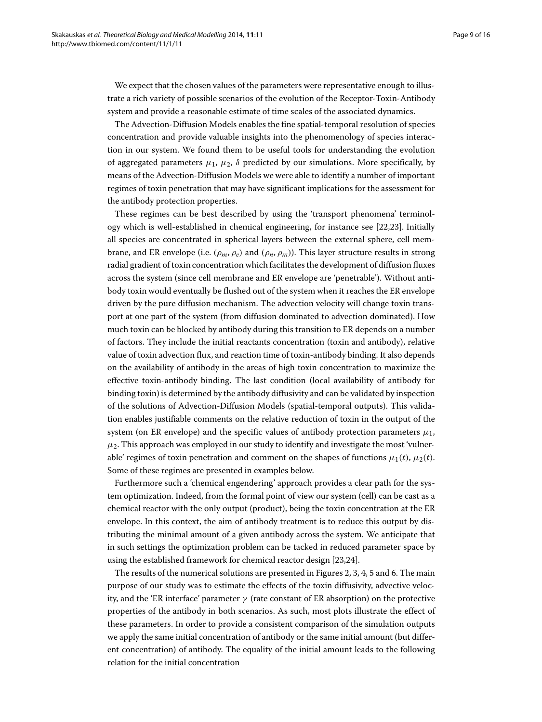We expect that the chosen values of the parameters were representative enough to illustrate a rich variety of possible scenarios of the evolution of the Receptor-Toxin-Antibody system and provide a reasonable estimate of time scales of the associated dynamics.

The Advection-Diffusion Models enables the fine spatial-temporal resolution of species concentration and provide valuable insights into the phenomenology of species interaction in our system. We found them to be useful tools for understanding the evolution of aggregated parameters  $\mu_1$ ,  $\mu_2$ ,  $\delta$  predicted by our simulations. More specifically, by means of the Advection-Diffusion Models we were able to identify a number of important regimes of toxin penetration that may have significant implications for the assessment for the antibody protection properties.

These regimes can be best described by using the 'transport phenomena' terminology which is well-established in chemical engineering, for instance see [\[22,](#page-15-16)[23\]](#page-15-17). Initially all species are concentrated in spherical layers between the external sphere, cell membrane, and ER envelope (i.e.  $(\rho_m, \rho_e)$  and  $(\rho_n, \rho_m)$ ). This layer structure results in strong radial gradient of toxin concentration which facilitates the development of diffusion fluxes across the system (since cell membrane and ER envelope are 'penetrable'). Without antibody toxin would eventually be flushed out of the system when it reaches the ER envelope driven by the pure diffusion mechanism. The advection velocity will change toxin transport at one part of the system (from diffusion dominated to advection dominated). How much toxin can be blocked by antibody during this transition to ER depends on a number of factors. They include the initial reactants concentration (toxin and antibody), relative value of toxin advection flux, and reaction time of toxin-antibody binding. It also depends on the availability of antibody in the areas of high toxin concentration to maximize the effective toxin-antibody binding. The last condition (local availability of antibody for binding toxin) is determined by the antibody diffusivity and can be validated by inspection of the solutions of Advection-Diffusion Models (spatial-temporal outputs). This validation enables justifiable comments on the relative reduction of toxin in the output of the system (on ER envelope) and the specific values of antibody protection parameters  $\mu_1$ ,  $\mu_2$ . This approach was employed in our study to identify and investigate the most 'vulnerable' regimes of toxin penetration and comment on the shapes of functions  $\mu_1(t)$ ,  $\mu_2(t)$ . Some of these regimes are presented in examples below.

Furthermore such a 'chemical engendering' approach provides a clear path for the system optimization. Indeed, from the formal point of view our system (cell) can be cast as a chemical reactor with the only output (product), being the toxin concentration at the ER envelope. In this context, the aim of antibody treatment is to reduce this output by distributing the minimal amount of a given antibody across the system. We anticipate that in such settings the optimization problem can be tacked in reduced parameter space by using the established framework for chemical reactor design [\[23](#page-15-17)[,24\]](#page-15-18).

<span id="page-8-0"></span>The results of the numerical solutions are presented in Figures [2,](#page-9-0) [3,](#page-10-0) [4,](#page-10-1) [5](#page-11-0) and [6.](#page-12-0) The main purpose of our study was to estimate the effects of the toxin diffusivity, advective velocity, and the 'ER interface' parameter  $\gamma$  (rate constant of ER absorption) on the protective properties of the antibody in both scenarios. As such, most plots illustrate the effect of these parameters. In order to provide a consistent comparison of the simulation outputs we apply the same initial concentration of antibody or the same initial amount (but different concentration) of antibody. The equality of the initial amount leads to the following relation for the initial concentration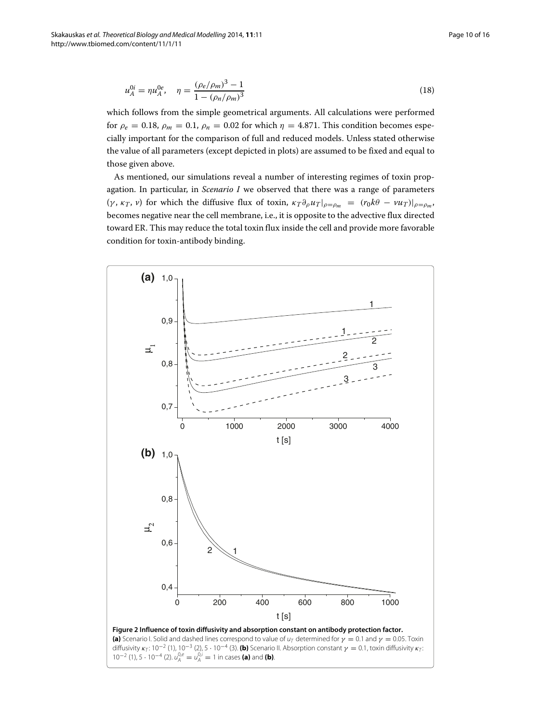$$
u_A^{0i} = \eta u_A^{0e}, \quad \eta = \frac{(\rho_e/\rho_m)^3 - 1}{1 - (\rho_n/\rho_m)^3}
$$
(18)

which follows from the simple geometrical arguments. All calculations were performed for  $\rho_e = 0.18$ ,  $\rho_m = 0.1$ ,  $\rho_n = 0.02$  for which  $\eta = 4.871$ . This condition becomes especially important for the comparison of full and reduced models. Unless stated otherwise the value of all parameters (except depicted in plots) are assumed to be fixed and equal to those given above.

As mentioned, our simulations reveal a number of interesting regimes of toxin propagation. In particular, in *Scenario I* we observed that there was a range of parameters (*γ*,  $\kappa_T$ , *v*) for which the diffusive flux of toxin,  $\kappa_T \partial_\rho u_T|_{\rho=\rho_m} = (r_0 k\theta - v u_T)|_{\rho=\rho_m}$ , becomes negative near the cell membrane, i.e., it is opposite to the advective flux directed toward ER. This may reduce the total toxin flux inside the cell and provide more favorable condition for toxin-antibody binding.

<span id="page-9-0"></span>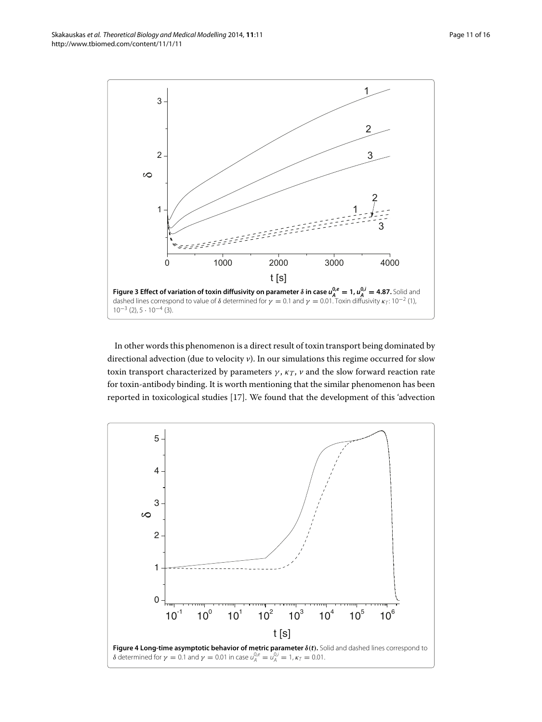<span id="page-10-0"></span>In other words this phenomenon is a direct result of toxin transport being dominated by directional advection (due to velocity *v*). In our simulations this regime occurred for slow toxin transport characterized by parameters  $\gamma$ ,  $\kappa_T$ ,  $\nu$  and the slow forward reaction rate for toxin-antibody binding. It is worth mentioning that the similar phenomenon has been reported in toxicological studies [\[17\]](#page-15-11). We found that the development of this 'advection

<span id="page-10-1"></span>



Skakauskas *et al. Theoretical Biology and Medical Modelling* 2014, **11**:11 Page 11 of 16 http://www.tbiomed.com/content/11/1/11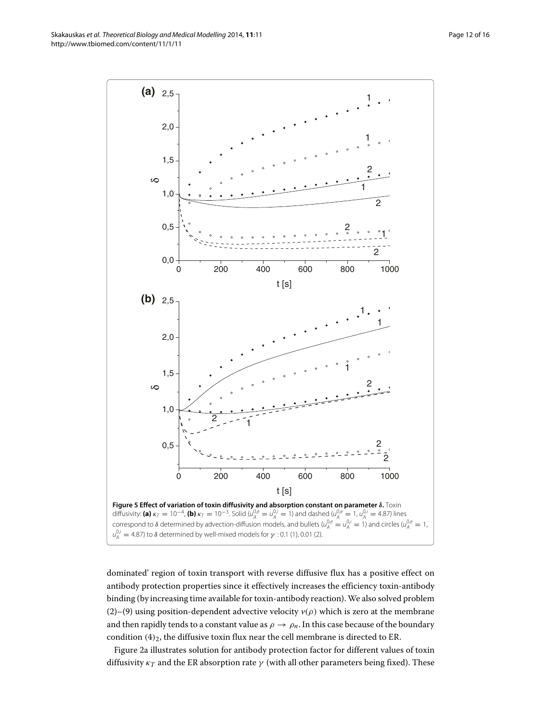<span id="page-11-0"></span>dominated' region of toxin transport with reverse diffusive flux has a positive effect on antibody protection properties since it effectively increases the efficiency toxin-antibody binding (by increasing time available for toxin-antibody reaction).We also solved problem [\(2\)](#page-4-0)–[\(9\)](#page-6-0) using position-dependent advective velocity  $v(\rho)$  which is zero at the membrane and then rapidly tends to a constant value as  $\rho \to \rho_n$ . In this case because of the boundary condition  $(4)_2$ , the diffusive toxin flux near the cell membrane is directed to ER.

Figure [2a](#page-9-0) illustrates solution for antibody protection factor for different values of toxin diffusivity  $\kappa_T$  and the ER absorption rate  $\gamma$  (with all other parameters being fixed). These

Skakauskas *et al. Theoretical Biology and Medical Modelling* 2014, **11**:11 Page 12 of 16 http://www.tbiomed.com/content/11/1/11

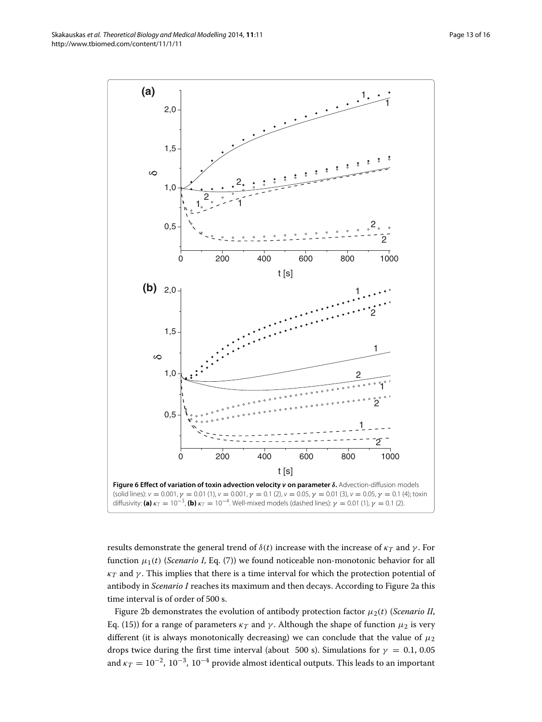Skakauskas *et al. Theoretical Biology and Medical Modelling* 2014, **11**:11 Page 13 of 16 http://www.tbiomed.com/content/11/1/11



<span id="page-12-0"></span>results demonstrate the general trend of  $\delta(t)$  increase with the increase of  $\kappa_T$  and  $\gamma$ . For function  $\mu_1(t)$  (*Scenario I*, Eq. [\(7\)](#page-5-2)) we found noticeable non-monotonic behavior for all  $\kappa_T$  and  $\gamma$ . This implies that there is a time interval for which the protection potential of antibody in *Scenario I* reaches its maximum and then decays. According to Figure [2a](#page-9-0) this time interval is of order of 500 s.

Figure [2b](#page-9-0) demonstrates the evolution of antibody protection factor  $\mu_2(t)$  (*Scenario II*, Eq. [\(15\)](#page-6-4)) for a range of parameters  $\kappa_T$  and  $\gamma$ . Although the shape of function  $\mu_2$  is very different (it is always monotonically decreasing) we can conclude that the value of  $\mu_2$ drops twice during the first time interval (about 500 s). Simulations for  $\gamma = 0.1, 0.05$ and  $\kappa_T = 10^{-2}$ , 10<sup>-3</sup>, 10<sup>-4</sup> provide almost identical outputs. This leads to an important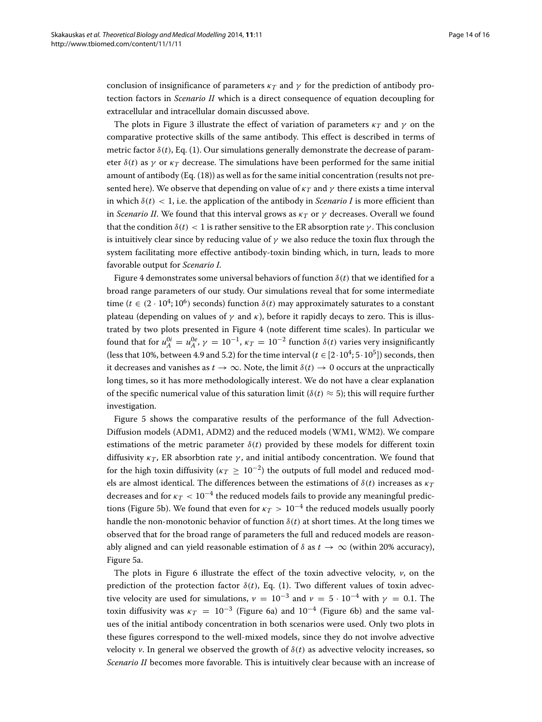conclusion of insignificance of parameters  $\kappa_T$  and  $\gamma$  for the prediction of antibody protection factors in *Scenario II* which is a direct consequence of equation decoupling for extracellular and intracellular domain discussed above.

The plots in Figure [3](#page-10-0) illustrate the effect of variation of parameters  $\kappa_T$  and  $\gamma$  on the comparative protective skills of the same antibody. This effect is described in terms of metric factor  $\delta(t)$ , Eq. [\(1\)](#page-2-1). Our simulations generally demonstrate the decrease of parameter  $\delta(t)$  as  $\gamma$  or  $\kappa_T$  decrease. The simulations have been performed for the same initial amount of antibody (Eq. [\(18\)](#page-8-0)) as well as for the same initial concentration (results not presented here). We observe that depending on value of  $\kappa_T$  and  $\gamma$  there exists a time interval in which  $\delta(t) < 1$ , i.e. the application of the antibody in *Scenario I* is more efficient than in *Scenario II*. We found that this interval grows as  $\kappa_T$  or  $\gamma$  decreases. Overall we found that the condition  $\delta(t) < 1$  is rather sensitive to the ER absorption rate  $\gamma$ . This conclusion is intuitively clear since by reducing value of  $\gamma$  we also reduce the toxin flux through the system facilitating more effective antibody-toxin binding which, in turn, leads to more favorable output for *Scenario I*.

Figure [4](#page-10-1) demonstrates some universal behaviors of function  $\delta(t)$  that we identified for a broad range parameters of our study. Our simulations reveal that for some intermediate time ( $t \in (2 \cdot 10^4; 10^6)$  seconds) function  $\delta(t)$  may approximately saturates to a constant plateau (depending on values of  $\gamma$  and  $\kappa$ ), before it rapidly decays to zero. This is illustrated by two plots presented in Figure [4](#page-10-1) (note different time scales). In particular we found that for  $u_A^{0i} = u_A^{0e}$ ,  $\gamma = 10^{-1}$ ,  $\kappa_T = 10^{-2}$  function  $\delta(t)$  varies very insignificantly (less that 10%, between 4.9 and 5.2) for the time interval ( $t \in [2 \cdot 10^4; 5 \cdot 10^5]$ ) seconds, then it decreases and vanishes as  $t \to \infty$ . Note, the limit  $\delta(t) \to 0$  occurs at the unpractically long times, so it has more methodologically interest. We do not have a clear explanation of the specific numerical value of this saturation limit ( $\delta(t) \approx 5$ ); this will require further investigation.

Figure [5](#page-11-0) shows the comparative results of the performance of the full Advection-Diffusion models (ADM1, ADM2) and the reduced models (WM1, WM2). We compare estimations of the metric parameter  $\delta(t)$  provided by these models for different toxin diffusivity  $\kappa_T$ , ER absorbtion rate  $\gamma$ , and initial antibody concentration. We found that for the high toxin diffusivity ( $\kappa T \ge 10^{-2}$ ) the outputs of full model and reduced models are almost identical. The differences between the estimations of  $\delta(t)$  increases as  $\kappa_T$ decreases and for  $\kappa_T < 10^{-4}$  the reduced models fails to provide any meaningful predic-tions (Figure [5b](#page-11-0)). We found that even for  $\kappa_T > 10^{-4}$  the reduced models usually poorly handle the non-monotonic behavior of function  $\delta(t)$  at short times. At the long times we observed that for the broad range of parameters the full and reduced models are reasonably aligned and can yield reasonable estimation of  $\delta$  as  $t \to \infty$  (within 20% accuracy), Figure [5a](#page-11-0).

The plots in Figure [6](#page-12-0) illustrate the effect of the toxin advective velocity,  $\nu$ , on the prediction of the protection factor  $\delta(t)$ , Eq. [\(1\)](#page-2-1). Two different values of toxin advective velocity are used for simulations,  $v = 10^{-3}$  and  $v = 5 \cdot 10^{-4}$  with  $\gamma = 0.1$ . The toxin diffusivity was  $\kappa_T = 10^{-3}$  (Figure [6a](#page-12-0)) and 10<sup>-4</sup> (Figure [6b](#page-12-0)) and the same values of the initial antibody concentration in both scenarios were used. Only two plots in these figures correspond to the well-mixed models, since they do not involve advective velocity *v*. In general we observed the growth of  $\delta(t)$  as advective velocity increases, so *Scenario II* becomes more favorable. This is intuitively clear because with an increase of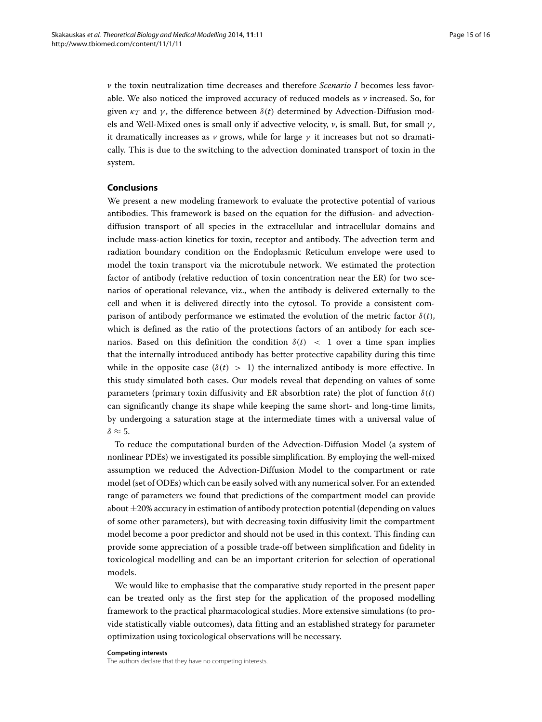*v* the toxin neutralization time decreases and therefore *Scenario I* becomes less favorable. We also noticed the improved accuracy of reduced models as *v* increased. So, for given  $\kappa_T$  and  $\gamma$ , the difference between  $\delta(t)$  determined by Advection-Diffusion models and Well-Mixed ones is small only if advective velocity, *v*, is small. But, for small γ , it dramatically increases as  $\nu$  grows, while for large  $\gamma$  it increases but not so dramatically. This is due to the switching to the advection dominated transport of toxin in the system.

## <span id="page-14-0"></span>**Conclusions**

We present a new modeling framework to evaluate the protective potential of various antibodies. This framework is based on the equation for the diffusion- and advectiondiffusion transport of all species in the extracellular and intracellular domains and include mass-action kinetics for toxin, receptor and antibody. The advection term and radiation boundary condition on the Endoplasmic Reticulum envelope were used to model the toxin transport via the microtubule network. We estimated the protection factor of antibody (relative reduction of toxin concentration near the ER) for two scenarios of operational relevance, viz., when the antibody is delivered externally to the cell and when it is delivered directly into the cytosol. To provide a consistent comparison of antibody performance we estimated the evolution of the metric factor  $\delta(t)$ , which is defined as the ratio of the protections factors of an antibody for each scenarios. Based on this definition the condition  $\delta(t) < 1$  over a time span implies that the internally introduced antibody has better protective capability during this time while in the opposite case  $(\delta(t) > 1)$  the internalized antibody is more effective. In this study simulated both cases. Our models reveal that depending on values of some parameters (primary toxin diffusivity and ER absorbtion rate) the plot of function  $\delta(t)$ can significantly change its shape while keeping the same short- and long-time limits, by undergoing a saturation stage at the intermediate times with a universal value of  $\delta \approx 5$ .

To reduce the computational burden of the Advection-Diffusion Model (a system of nonlinear PDEs) we investigated its possible simplification. By employing the well-mixed assumption we reduced the Advection-Diffusion Model to the compartment or rate model (set of ODEs) which can be easily solved with any numerical solver. For an extended range of parameters we found that predictions of the compartment model can provide about  $\pm 20\%$  accuracy in estimation of antibody protection potential (depending on values of some other parameters), but with decreasing toxin diffusivity limit the compartment model become a poor predictor and should not be used in this context. This finding can provide some appreciation of a possible trade-off between simplification and fidelity in toxicological modelling and can be an important criterion for selection of operational models.

We would like to emphasise that the comparative study reported in the present paper can be treated only as the first step for the application of the proposed modelling framework to the practical pharmacological studies. More extensive simulations (to provide statistically viable outcomes), data fitting and an established strategy for parameter optimization using toxicological observations will be necessary.